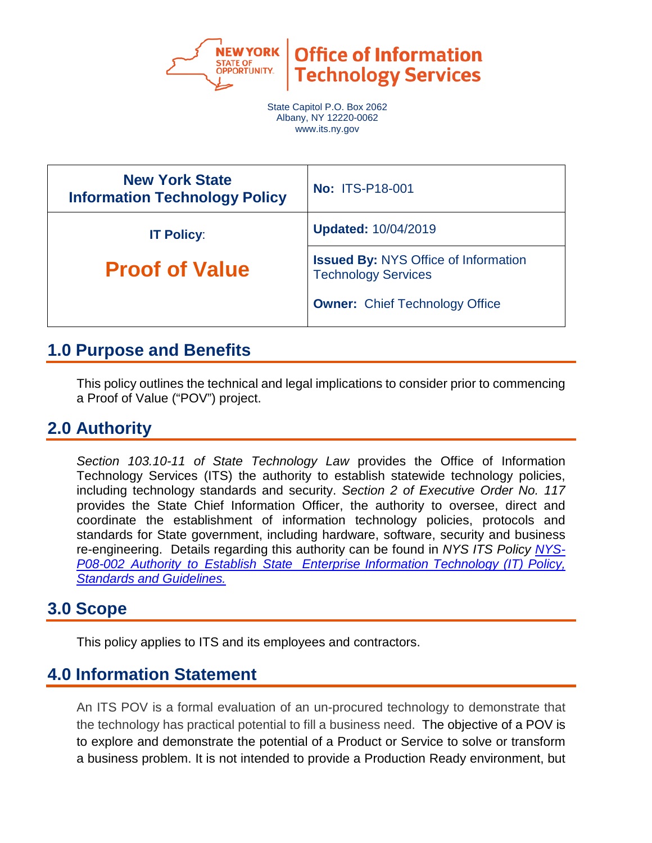

**Office of Information Technology Services** 

State Capitol P.O. Box 2062 Albany, NY 12220-0062 www.its.ny.gov

| <b>New York State</b><br><b>Information Technology Policy</b> | <b>No: ITS-P18-001</b>                                                    |
|---------------------------------------------------------------|---------------------------------------------------------------------------|
| <b>IT Policy:</b>                                             | <b>Updated: 10/04/2019</b>                                                |
| <b>Proof of Value</b>                                         | <b>Issued By: NYS Office of Information</b><br><b>Technology Services</b> |
|                                                               | <b>Owner: Chief Technology Office</b>                                     |

## **1.0 Purpose and Benefits**

This policy outlines the technical and legal implications to consider prior to commencing a Proof of Value ("POV") project.

## **2.0 Authority**

*Section 103.10-11 of State Technology Law* provides the Office of Information Technology Services (ITS) the authority to establish statewide technology policies, including technology standards and security. *Section 2 of Executive Order No. 117* provides the State Chief Information Officer, the authority to oversee, direct and coordinate the establishment of information technology policies, protocols and standards for State government, including hardware, software, security and business re-engineering. Details regarding this authority can be found in *NYS ITS Policy [NYS-](https://its.ny.gov/document/authority-establish-state-enterprise-information-technology-it-policy-standards-and-guidelines)P08-002 Authority to Establish [State Enterprise](https://its.ny.gov/document/authority-establish-state-enterprise-information-technology-it-policy-standards-and-guidelines) Information Technology (IT) Policy, Standards and [Guidelines.](https://its.ny.gov/document/authority-establish-state-enterprise-information-technology-it-policy-standards-and-guidelines)*

## **3.0 Scope**

This policy applies to ITS and its employees and contractors.

## **4.0 Information Statement**

An ITS POV is a formal evaluation of an un-procured technology to demonstrate that the technology has practical potential to fill a business need. The objective of a POV is to explore and demonstrate the potential of a Product or Service to solve or transform a business problem. It is not intended to provide a Production Ready environment, but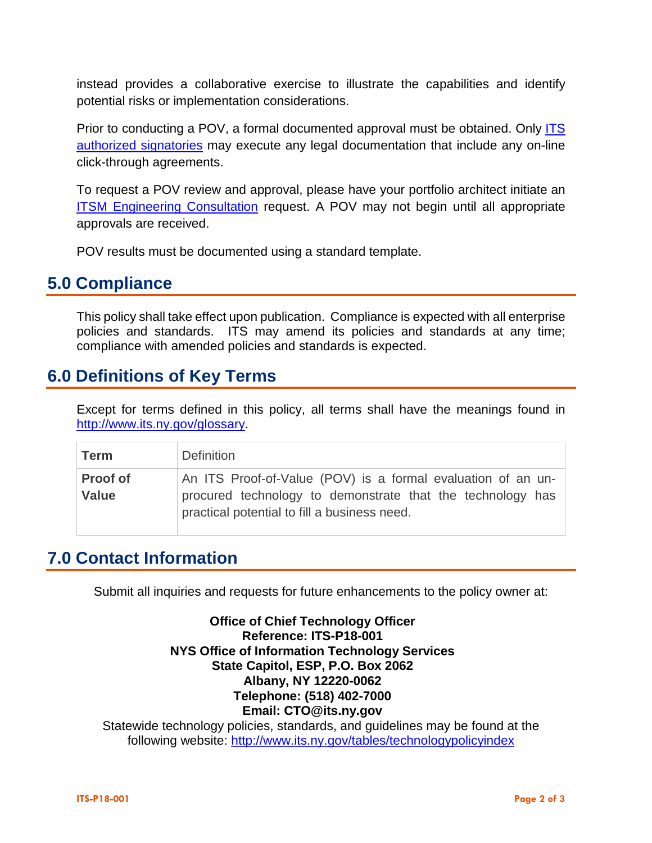instead provides a collaborative exercise to illustrate the capabilities and identify potential risks or implementation considerations.

Prior to conducting a POV, a formal documented approval must be obtained. Only [ITS](https://nysemail.sharepoint.com/:b:/r/sites/myITS/InsideEdge/Documents/ITS-P08-001%20Transaction%20Approval.pdf?csf=1)  [authorized signatories](https://nysemail.sharepoint.com/:b:/r/sites/myITS/InsideEdge/Documents/ITS-P08-001%20Transaction%20Approval.pdf?csf=1) may execute any legal documentation that include any on-line click-through agreements.

To request a POV review and approval, please have your portfolio architect initiate a[n](https://nysitsm2.service-now.com/sp?sys_id=a76b20e64f7653407452e0024210c7dd&id=sc_cat_item_nys&table=sc_cat_item) **ITSM [Engineering Consultation](https://nysitsm2.service-now.com/sp?sys_id=a76b20e64f7653407452e0024210c7dd&id=sc_cat_item_nys&table=sc_cat_item)** request. A POV may not begin until all appropriate approvals are received.

POV results must be documented using a standard template.

#### **5.0 Compliance**

This policy shall take effect upon publication. Compliance is expected with all enterprise policies and standards. ITS may amend its policies and standards at any time; compliance with amended policies and standards is expected.

#### **6.0 Definitions of Key Terms**

Except for terms defined in this policy, all terms shall have the meanings found in [http://www.its.ny.gov/glossary.](http://www.its.ny.gov/glossary)

| <b>Term</b>                     | <b>Definition</b>                                                                                                                                                          |
|---------------------------------|----------------------------------------------------------------------------------------------------------------------------------------------------------------------------|
| <b>Proof of</b><br><b>Value</b> | An ITS Proof-of-Value (POV) is a formal evaluation of an un-<br>procured technology to demonstrate that the technology has<br>practical potential to fill a business need. |

### **7.0 Contact Information**

Submit all inquiries and requests for future enhancements to the policy owner at:

**Office of Chief Technology Officer Reference: ITS-P18-001 NYS Office of Information Technology Services State Capitol, ESP, P.O. Box 2062 Albany, NY 12220-0062 Telephone: (518) 402-7000 Email: [CTO@its.ny.gov](mailto:CTO@its.ny.gov)**

Statewide technology policies, standards, and guidelines may be found at the following website: <http://www.its.ny.gov/tables/technologypolicyindex>